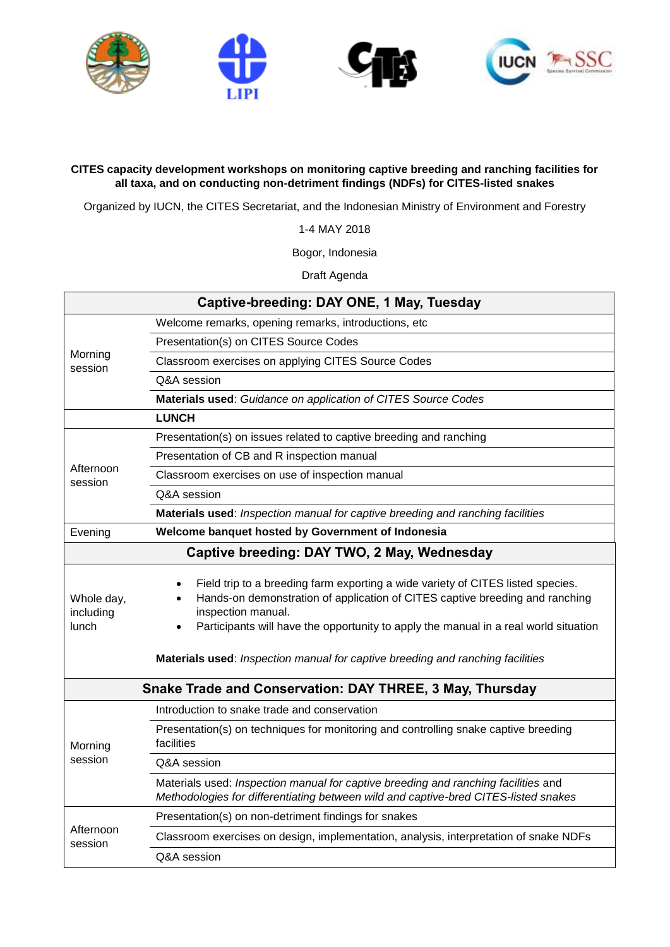

## **CITES capacity development workshops on monitoring captive breeding and ranching facilities for all taxa, and on conducting non-detriment findings (NDFs) for CITES-listed snakes**

Organized by IUCN, the CITES Secretariat, and the Indonesian Ministry of Environment and Forestry

1-4 MAY 2018

Bogor, Indonesia

Draft Agenda

| Captive-breeding: DAY ONE, 1 May, Tuesday                |                                                                                                                                                                                                                                                                                                                                                                              |  |
|----------------------------------------------------------|------------------------------------------------------------------------------------------------------------------------------------------------------------------------------------------------------------------------------------------------------------------------------------------------------------------------------------------------------------------------------|--|
| Morning<br>session                                       | Welcome remarks, opening remarks, introductions, etc                                                                                                                                                                                                                                                                                                                         |  |
|                                                          | Presentation(s) on CITES Source Codes                                                                                                                                                                                                                                                                                                                                        |  |
|                                                          | Classroom exercises on applying CITES Source Codes                                                                                                                                                                                                                                                                                                                           |  |
|                                                          | Q&A session                                                                                                                                                                                                                                                                                                                                                                  |  |
|                                                          | Materials used: Guidance on application of CITES Source Codes                                                                                                                                                                                                                                                                                                                |  |
|                                                          | <b>LUNCH</b>                                                                                                                                                                                                                                                                                                                                                                 |  |
| Afternoon<br>session                                     | Presentation(s) on issues related to captive breeding and ranching                                                                                                                                                                                                                                                                                                           |  |
|                                                          | Presentation of CB and R inspection manual                                                                                                                                                                                                                                                                                                                                   |  |
|                                                          | Classroom exercises on use of inspection manual                                                                                                                                                                                                                                                                                                                              |  |
|                                                          | Q&A session                                                                                                                                                                                                                                                                                                                                                                  |  |
|                                                          | Materials used: Inspection manual for captive breeding and ranching facilities                                                                                                                                                                                                                                                                                               |  |
| Evening                                                  | Welcome banquet hosted by Government of Indonesia                                                                                                                                                                                                                                                                                                                            |  |
| Captive breeding: DAY TWO, 2 May, Wednesday              |                                                                                                                                                                                                                                                                                                                                                                              |  |
| Whole day,<br>including<br>lunch                         | Field trip to a breeding farm exporting a wide variety of CITES listed species.<br>Hands-on demonstration of application of CITES captive breeding and ranching<br>$\bullet$<br>inspection manual.<br>Participants will have the opportunity to apply the manual in a real world situation<br>Materials used: Inspection manual for captive breeding and ranching facilities |  |
| Snake Trade and Conservation: DAY THREE, 3 May, Thursday |                                                                                                                                                                                                                                                                                                                                                                              |  |
| Morning<br>session                                       | Introduction to snake trade and conservation                                                                                                                                                                                                                                                                                                                                 |  |
|                                                          | Presentation(s) on techniques for monitoring and controlling snake captive breeding<br>facilities                                                                                                                                                                                                                                                                            |  |
|                                                          | Q&A session                                                                                                                                                                                                                                                                                                                                                                  |  |
|                                                          | Materials used: Inspection manual for captive breeding and ranching facilities and<br>Methodologies for differentiating between wild and captive-bred CITES-listed snakes                                                                                                                                                                                                    |  |
| Afternoon<br>session                                     | Presentation(s) on non-detriment findings for snakes                                                                                                                                                                                                                                                                                                                         |  |
|                                                          | Classroom exercises on design, implementation, analysis, interpretation of snake NDFs                                                                                                                                                                                                                                                                                        |  |
|                                                          | Q&A session                                                                                                                                                                                                                                                                                                                                                                  |  |